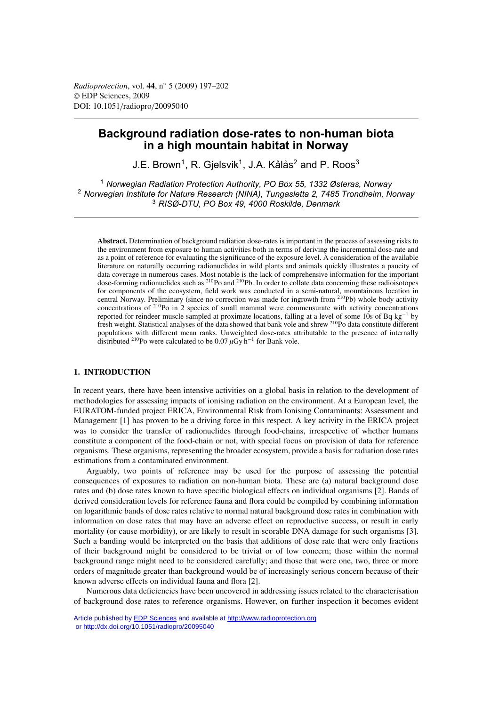# **Background radiation dose-rates to non-human biota in a high mountain habitat in Norway**

J.E. Brown<sup>1</sup>, R. Gielsvik<sup>1</sup>, J.A. Kålås<sup>2</sup> and P. Roos<sup>3</sup>

<sup>1</sup> *Norwegian Radiation Protection Authority, PO Box 55, 1332 Østeras, Norway* <sup>2</sup> *Norwegian Institute for Nature Research (NINA), Tungasletta 2, 7485 Trondheim, Norway* <sup>3</sup> *RISØ-DTU, PO Box 49, 4000 Roskilde, Denmark*

**Abstract.** Determination of background radiation dose-rates is important in the process of assessing risks to the environment from exposure to human activities both in terms of deriving the incremental dose-rate and as a point of reference for evaluating the significance of the exposure level. A consideration of the available literature on naturally occurring radionuclides in wild plants and animals quickly illustrates a paucity of data coverage in numerous cases. Most notable is the lack of comprehensive information for the important dose-forming radionuclides such as 210Po and 210Pb. In order to collate data concerning these radioisotopes for components of the ecosystem, field work was conducted in a semi-natural, mountainous location in central Norway. Preliminary (since no correction was made for ingrowth from 210Pb) whole-body activity concentrations of 210Po in 2 species of small mammal were commensurate with activity concentrations reported for reindeer muscle sampled at proximate locations, falling at a level of some 10s of Bq kg−<sup>1</sup> by fresh weight. Statistical analyses of the data showed that bank vole and shrew 210Po data constitute different populations with different mean ranks. Unweighted dose-rates attributable to the presence of internally distributed <sup>210</sup>Po were calculated to be 0.07  $\mu$ Gy h<sup>-1</sup> for Bank vole.

# **1. INTRODUCTION**

In recent years, there have been intensive activities on a global basis in relation to the development of methodologies for assessing impacts of ionising radiation on the environment. At a European level, the EURATOM-funded project ERICA, Environmental Risk from Ionising Contaminants: Assessment and Management [1] has proven to be a driving force in this respect. A key activity in the ERICA project was to consider the transfer of radionuclides through food-chains, irrespective of whether humans constitute a component of the food-chain or not, with special focus on provision of data for reference organisms. These organisms, representing the broader ecosystem, provide a basis for radiation dose rates estimations from a contaminated environment.

Arguably, two points of reference may be used for the purpose of assessing the potential consequences of exposures to radiation on non-human biota. These are (a) natural background dose rates and (b) dose rates known to have specific biological effects on individual organisms [2]. Bands of derived consideration levels for reference fauna and flora could be compiled by combining information on logarithmic bands of dose rates relative to normal natural background dose rates in combination with information on dose rates that may have an adverse effect on reproductive success, or result in early mortality (or cause morbidity), or are likely to result in scorable DNA damage for such organisms [3]. Such a banding would be interpreted on the basis that additions of dose rate that were only fractions of their background might be considered to be trivial or of low concern; those within the normal background range might need to be considered carefully; and those that were one, two, three or more orders of magnitude greater than background would be of increasingly serious concern because of their known adverse effects on individual fauna and flora [2].

Numerous data deficiencies have been uncovered in addressing issues related to the characterisation of background dose rates to reference organisms. However, on further inspection it becomes evident

Article published by [EDP Sciences](http://www.edpsciences.org) and available at<http://www.radioprotection.org> or <http://dx.doi.org/10.1051/radiopro/20095040>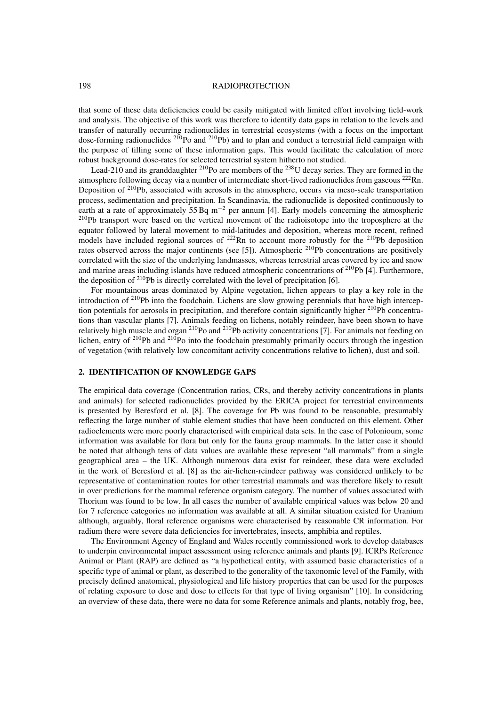#### 198 RADIOPROTECTION

that some of these data deficiencies could be easily mitigated with limited effort involving field-work and analysis. The objective of this work was therefore to identify data gaps in relation to the levels and transfer of naturally occurring radionuclides in terrestrial ecosystems (with a focus on the important dose-forming radionuclides <sup>210</sup>Po and <sup>210</sup>Pb) and to plan and conduct a terrestrial field campaign with the purpose of filling some of these information gaps. This would facilitate the calculation of more robust background dose-rates for selected terrestrial system hitherto not studied.

Lead-210 and its granddaughter  $^{210}$ Po are members of the  $^{238}$ U decay series. They are formed in the atmosphere following decay via a number of intermediate short-lived radionuclides from gaseous  $^{222}$ Rn. Deposition of  $2^{10}$ Pb, associated with aerosols in the atmosphere, occurs via meso-scale transportation process, sedimentation and precipitation. In Scandinavia, the radionuclide is deposited continuously to earth at a rate of approximately 55 Bq m−<sup>2</sup> per annum [4]. Early models concerning the atmospheric 210Pb transport were based on the vertical movement of the radioisotope into the troposphere at the equator followed by lateral movement to mid-latitudes and deposition, whereas more recent, refined models have included regional sources of <sup>222</sup>Rn to account more robustly for the <sup>210</sup>Pb deposition rates observed across the major continents (see [5]). Atmospheric <sup>210</sup>Pb concentrations are positively correlated with the size of the underlying landmasses, whereas terrestrial areas covered by ice and snow and marine areas including islands have reduced atmospheric concentrations of  $2^{10}Pb$  [4]. Furthermore, the deposition of  $^{210}Pb$  is directly correlated with the level of precipitation [6].

For mountainous areas dominated by Alpine vegetation, lichen appears to play a key role in the introduction of 210Pb into the foodchain. Lichens are slow growing perennials that have high interception potentials for aerosols in precipitation, and therefore contain significantly higher 210Pb concentrations than vascular plants [7]. Animals feeding on lichens, notably reindeer, have been shown to have relatively high muscle and organ <sup>210</sup>Po and <sup>210</sup>Pb activity concentrations [7]. For animals not feeding on lichen, entry of <sup>210</sup>Pb and <sup>210</sup>Po into the foodchain presumably primarily occurs through the ingestion of vegetation (with relatively low concomitant activity concentrations relative to lichen), dust and soil.

## **2. IDENTIFICATION OF KNOWLEDGE GAPS**

The empirical data coverage (Concentration ratios, CRs, and thereby activity concentrations in plants and animals) for selected radionuclides provided by the ERICA project for terrestrial environments is presented by Beresford et al. [8]. The coverage for Pb was found to be reasonable, presumably reflecting the large number of stable element studies that have been conducted on this element. Other radioelements were more poorly characterised with empirical data sets. In the case of Polonioum, some information was available for flora but only for the fauna group mammals. In the latter case it should be noted that although tens of data values are available these represent "all mammals" from a single geographical area – the UK. Although numerous data exist for reindeer, these data were excluded in the work of Beresford et al. [8] as the air-lichen-reindeer pathway was considered unlikely to be representative of contamination routes for other terrestrial mammals and was therefore likely to result in over predictions for the mammal reference organism category. The number of values associated with Thorium was found to be low. In all cases the number of available empirical values was below 20 and for 7 reference categories no information was available at all. A similar situation existed for Uranium although, arguably, floral reference organisms were characterised by reasonable CR information. For radium there were severe data deficiencies for invertebrates, insects, amphibia and reptiles.

The Environment Agency of England and Wales recently commissioned work to develop databases to underpin environmental impact assessment using reference animals and plants [9]. ICRPs Reference Animal or Plant (RAP) are defined as "a hypothetical entity, with assumed basic characteristics of a specific type of animal or plant, as described to the generality of the taxonomic level of the Family, with precisely defined anatomical, physiological and life history properties that can be used for the purposes of relating exposure to dose and dose to effects for that type of living organism" [10]. In considering an overview of these data, there were no data for some Reference animals and plants, notably frog, bee,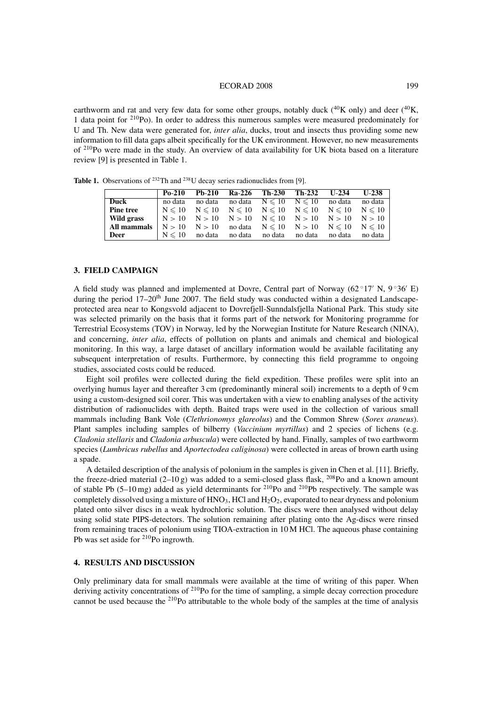#### ECORAD 2008 199

earthworm and rat and very few data for some other groups, notably duck  $(^{40}K$  only) and deer  $(^{40}K$ . 1 data point for 210Po). In order to address this numerous samples were measured predominately for U and Th. New data were generated for, *inter alia*, ducks, trout and insects thus providing some new information to fill data gaps albeit specifically for the UK environment. However, no new measurements of <sup>210</sup>Po were made in the study. An overview of data availability for UK biota based on a literature review [9] is presented in Table 1.

**Table 1.** Observations of <sup>232</sup>Th and <sup>238</sup>U decay series radionuclides from [9].

|                  | $Po-210$ | $Pb-210$                                                                            | Ra-226 Th-230 Th-232 |         | $U-234$                               | $U-238$ |
|------------------|----------|-------------------------------------------------------------------------------------|----------------------|---------|---------------------------------------|---------|
| Duck             | no data  | no data                                                                             |                      |         | no data $N \le 10$ $N \le 10$ no data | no data |
| <b>Pine tree</b> |          | $N \leq 10$ $N \leq 10$ $N \leq 10$ $N \leq 10$ $N \leq 10$ $N \leq 10$ $N \leq 10$ |                      |         |                                       |         |
| Wild grass       |          | $N > 10$ $N > 10$ $N > 10$ $N \le 10$ $N > 10$ $N > 10$ $N > 10$                    |                      |         |                                       |         |
| All mammals      |          | $N > 10$ $N > 10$ nodata $N \le 10$ $N > 10$ $N \le 10$ $N \le 10$                  |                      |         |                                       |         |
| <b>Deer</b>      |          | $N \leq 10$ no data                                                                 | no data no data      | no data | no data                               | no data |

### **3. FIELD CAMPAIGN**

A field study was planned and implemented at Dovre, Central part of Norway (62  $\degree$ 17' N, 9  $\degree$ 36' E) during the period  $17-20<sup>th</sup>$  June 2007. The field study was conducted within a designated Landscapeprotected area near to Kongsvold adjacent to Dovrefjell-Sunndalsfjella National Park. This study site was selected primarily on the basis that it forms part of the network for Monitoring programme for Terrestrial Ecosystems (TOV) in Norway, led by the Norwegian Institute for Nature Research (NINA), and concerning, *inter alia*, effects of pollution on plants and animals and chemical and biological monitoring. In this way, a large dataset of ancillary information would be available facilitating any subsequent interpretation of results. Furthermore, by connecting this field programme to ongoing studies, associated costs could be reduced.

Eight soil profiles were collected during the field expedition. These profiles were split into an overlying humus layer and thereafter 3 cm (predominantly mineral soil) increments to a depth of 9 cm using a custom-designed soil corer. This was undertaken with a view to enabling analyses of the activity distribution of radionuclides with depth. Baited traps were used in the collection of various small mammals including Bank Vole (*Clethrionomys glareolus*) and the Common Shrew (*Sorex araneus*). Plant samples including samples of bilberry (*Vaccinium myrtillus*) and 2 species of lichens (e.g. *Cladonia stellaris* and *Cladonia arbuscula*) were collected by hand. Finally, samples of two earthworm species (*Lumbricus rubellus* and *Aportectodea caliginosa*) were collected in areas of brown earth using a spade.

A detailed description of the analysis of polonium in the samples is given in Chen et al. [11]. Briefly, the freeze-dried material  $(2-10 g)$  was added to a semi-closed glass flask, <sup>208</sup>Po and a known amount of stable Pb (5–10 mg) added as yield determinants for 210Po and 210Pb respectively. The sample was completely dissolved using a mixture of  $HNO<sub>3</sub>$ , HCl and  $H<sub>2</sub>O<sub>2</sub>$ , evaporated to near dryness and polonium plated onto silver discs in a weak hydrochloric solution. The discs were then analysed without delay using solid state PIPS-detectors. The solution remaining after plating onto the Ag-discs were rinsed from remaining traces of polonium using TIOA-extraction in 10 M HCl. The aqueous phase containing Pb was set aside for 210Po ingrowth.

# **4. RESULTS AND DISCUSSION**

Only preliminary data for small mammals were available at the time of writing of this paper. When deriving activity concentrations of <sup>210</sup>Po for the time of sampling, a simple decay correction procedure cannot be used because the 210Po attributable to the whole body of the samples at the time of analysis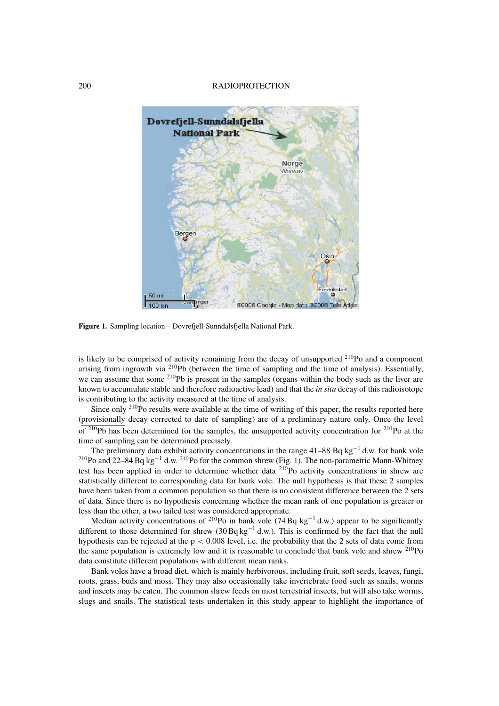### 200 RADIOPROTECTION



**Figure 1.** Sampling location – Dovrefjell-Sunndalsfjella National Park.

is likely to be comprised of activity remaining from the decay of unsupported  $^{210}$ Po and a component arising from ingrowth via 210Pb (between the time of sampling and the time of analysis). Essentially, we can assume that some  $2^{10}Pb$  is present in the samples (organs within the body such as the liver are known to accumulate stable and therefore radioactive lead) and that the *in situ* decay of this radioisotope is contributing to the activity measured at the time of analysis.

Since only <sup>210</sup>Po results were available at the time of writing of this paper, the results reported here (provisionally decay corrected to date of sampling) are of a preliminary nature only. Once the level of  $2^{10}Pb$  has been determined for the samples, the unsupported activity concentration for  $2^{10}Po$  at the time of sampling can be determined precisely.

The preliminary data exhibit activity concentrations in the range 41–88 Bq kg<sup>-1</sup> d.w. for bank vole <sup>210</sup>Po and 22–84 Bq kg<sup>-1</sup> d.w. <sup>210</sup>Po for the common shrew (Fig. 1). The non-parametric Mann-Whitney test has been applied in order to determine whether data <sup>210</sup>Po activity concentrations in shrew are statistically different to corresponding data for bank vole. The null hypothesis is that these 2 samples have been taken from a common population so that there is no consistent difference between the 2 sets of data. Since there is no hypothesis concerning whether the mean rank of one population is greater or less than the other, a two tailed test was considered appropriate.

Median activity concentrations of <sup>210</sup>Po in bank vole (74 Bq kg<sup>-1</sup> d.w.) appear to be significantly different to those determined for shrew (30 Bq kg−<sup>1</sup> d.w.). This is confirmed by the fact that the null hypothesis can be rejected at the  $p < 0.008$  level, i.e. the probability that the 2 sets of data come from the same population is extremely low and it is reasonable to conclude that bank vole and shrew <sup>210</sup>Po data constitute different populations with different mean ranks.

Bank voles have a broad diet, which is mainly herbivorous, including fruit, soft seeds, leaves, fungi, roots, grass, buds and moss. They may also occasionally take invertebrate food such as snails, worms and insects may be eaten. The common shrew feeds on most terrestrial insects, but will also take worms, slugs and snails. The statistical tests undertaken in this study appear to highlight the importance of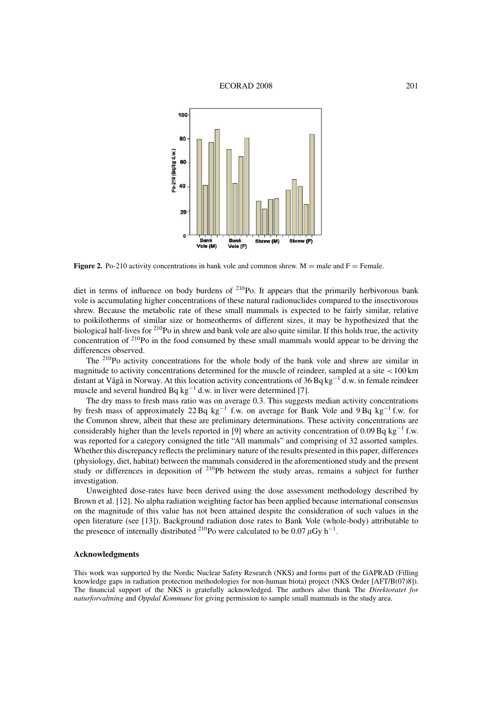

**Figure 2.** Po-210 activity concentrations in bank vole and common shrew.  $M =$  male and  $F =$  Female.

diet in terms of influence on body burdens of  $^{210}$ Po. It appears that the primarily herbivorous bank vole is accumulating higher concentrations of these natural radionuclides compared to the insectivorous shrew. Because the metabolic rate of these small mammals is expected to be fairly similar, relative to poikilotherms of similar size or homeotherms of different sizes, it may be hypothesized that the biological half-lives for 210Po in shrew and bank vole are also quite similar. If this holds true, the activity concentration of 210Po in the food consumed by these small mammals would appear to be driving the differences observed.

The <sup>210</sup>Po activity concentrations for the whole body of the bank vole and shrew are similar in magnitude to activity concentrations determined for the muscle of reindeer, sampled at a site <100 km distant at Vågå in Norway. At this location activity concentrations of 36 Bq kg−<sup>1</sup> d.w. in female reindeer muscle and several hundred Bq kg−<sup>1</sup> d.w. in liver were determined [7].

The dry mass to fresh mass ratio was on average 0.3. This suggests median activity concentrations by fresh mass of approximately 22 Bq kg−<sup>1</sup> f.w. on average for Bank Vole and 9 Bq kg−<sup>1</sup> f.w. for the Common shrew, albeit that these are preliminary determinations. These activity concentrations are considerably higher than the levels reported in [9] where an activity concentration of 0.09 Bq kg<sup>-1</sup> f.w. was reported for a category consigned the title "All mammals" and comprising of 32 assorted samples. Whether this discrepancy reflects the preliminary nature of the results presented in this paper, differences (physiology, diet, habitat) between the mammals considered in the aforementioned study and the present study or differences in deposition of  $2^{10}Pb$  between the study areas, remains a subject for further investigation.

Unweighted dose-rates have been derived using the dose assessment methodology described by Brown et al. [12]. No alpha radiation weighting factor has been applied because international consensus on the magnitude of this value has not been attained despite the consideration of such values in the open literature (see [13]). Background radiation dose rates to Bank Vole (whole-body) attributable to the presence of internally distributed <sup>210</sup>Po were calculated to be 0.07  $\mu$ Gy h<sup>-1</sup>.

### **Acknowledgments**

This work was supported by the Nordic Nuclear Safety Research (NKS) and forms part of the GAPRAD (Filling knowledge gaps in radiation protection methodologies for non-human biota) project (NKS Order [AFT/B(07)8]). The financial support of the NKS is gratefully acknowledged. The authors also thank The *Direktoratet for naturforvaltning* and *Oppdal Kommune* for giving permission to sample small mammals in the study area.